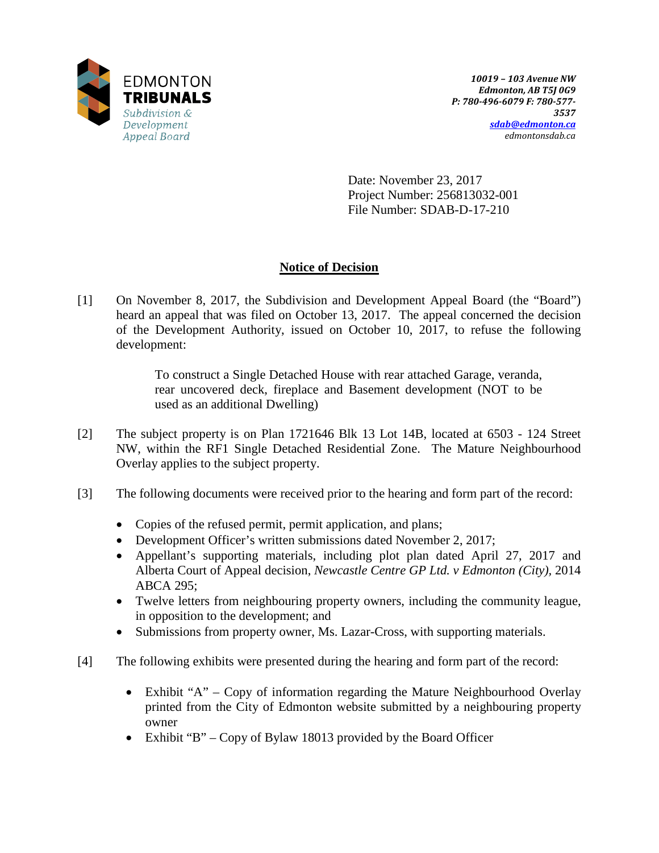

Date: November 23, 2017 Project Number: 256813032-001 File Number: SDAB-D-17-210

# **Notice of Decision**

[1] On November 8, 2017, the Subdivision and Development Appeal Board (the "Board") heard an appeal that was filed on October 13, 2017. The appeal concerned the decision of the Development Authority, issued on October 10, 2017, to refuse the following development:

> To construct a Single Detached House with rear attached Garage, veranda, rear uncovered deck, fireplace and Basement development (NOT to be used as an additional Dwelling)

- [2] The subject property is on Plan 1721646 Blk 13 Lot 14B, located at 6503 124 Street NW, within the RF1 Single Detached Residential Zone. The Mature Neighbourhood Overlay applies to the subject property.
- [3] The following documents were received prior to the hearing and form part of the record:
	- Copies of the refused permit, permit application, and plans;
	- Development Officer's written submissions dated November 2, 2017;
	- Appellant's supporting materials, including plot plan dated April 27, 2017 and Alberta Court of Appeal decision, *Newcastle Centre GP Ltd. v Edmonton (City),* 2014 ABCA 295;
	- Twelve letters from neighbouring property owners, including the community league, in opposition to the development; and
	- Submissions from property owner, Ms. Lazar-Cross, with supporting materials.
- [4] The following exhibits were presented during the hearing and form part of the record:
	- Exhibit "A" Copy of information regarding the Mature Neighbourhood Overlay printed from the City of Edmonton website submitted by a neighbouring property owner
	- Exhibit "B" Copy of Bylaw 18013 provided by the Board Officer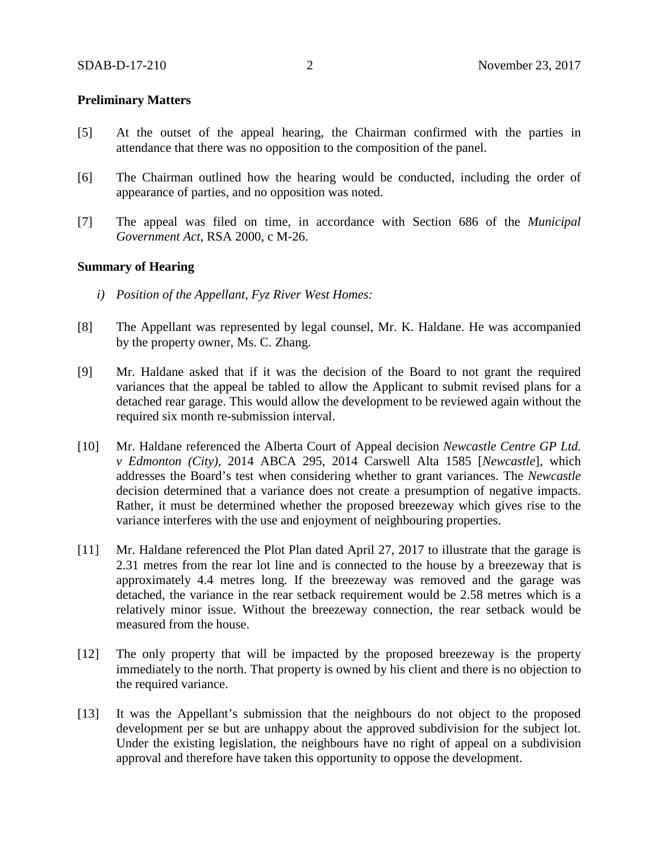## **Preliminary Matters**

- [5] At the outset of the appeal hearing, the Chairman confirmed with the parties in attendance that there was no opposition to the composition of the panel.
- [6] The Chairman outlined how the hearing would be conducted, including the order of appearance of parties, and no opposition was noted.
- [7] The appeal was filed on time, in accordance with Section 686 of the *Municipal Government Act*, RSA 2000, c M-26.

## **Summary of Hearing**

- *i) Position of the Appellant, Fyz River West Homes:*
- [8] The Appellant was represented by legal counsel, Mr. K. Haldane. He was accompanied by the property owner, Ms. C. Zhang.
- [9] Mr. Haldane asked that if it was the decision of the Board to not grant the required variances that the appeal be tabled to allow the Applicant to submit revised plans for a detached rear garage. This would allow the development to be reviewed again without the required six month re-submission interval.
- [10] Mr. Haldane referenced the Alberta Court of Appeal decision *Newcastle Centre GP Ltd. v Edmonton (City),* 2014 ABCA 295, 2014 Carswell Alta 1585 [*Newcastle*], which addresses the Board's test when considering whether to grant variances. The *Newcastle* decision determined that a variance does not create a presumption of negative impacts. Rather, it must be determined whether the proposed breezeway which gives rise to the variance interferes with the use and enjoyment of neighbouring properties.
- [11] Mr. Haldane referenced the Plot Plan dated April 27, 2017 to illustrate that the garage is 2.31 metres from the rear lot line and is connected to the house by a breezeway that is approximately 4.4 metres long. If the breezeway was removed and the garage was detached, the variance in the rear setback requirement would be 2.58 metres which is a relatively minor issue. Without the breezeway connection, the rear setback would be measured from the house.
- [12] The only property that will be impacted by the proposed breezeway is the property immediately to the north. That property is owned by his client and there is no objection to the required variance.
- [13] It was the Appellant's submission that the neighbours do not object to the proposed development per se but are unhappy about the approved subdivision for the subject lot. Under the existing legislation, the neighbours have no right of appeal on a subdivision approval and therefore have taken this opportunity to oppose the development.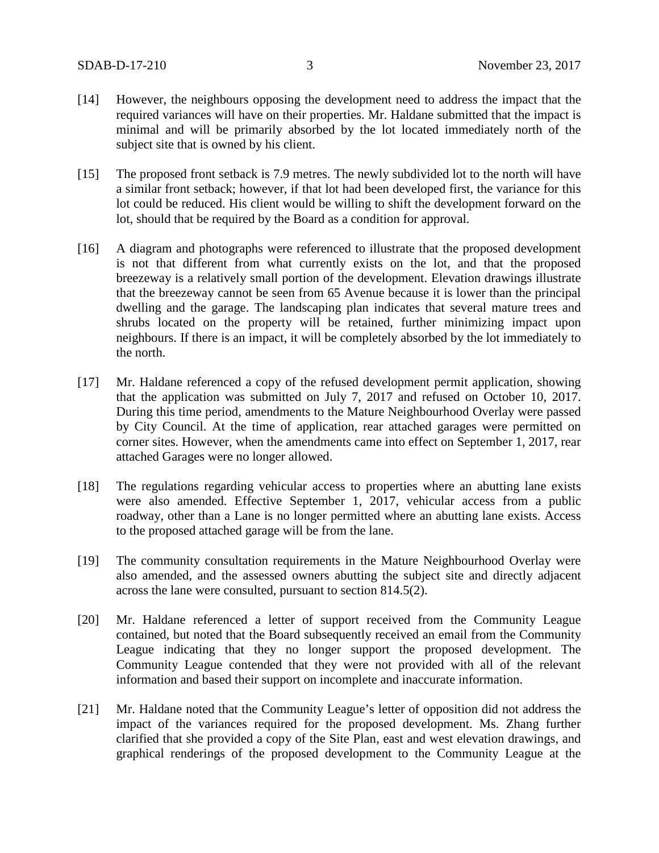- [14] However, the neighbours opposing the development need to address the impact that the required variances will have on their properties. Mr. Haldane submitted that the impact is minimal and will be primarily absorbed by the lot located immediately north of the subject site that is owned by his client.
- [15] The proposed front setback is 7.9 metres. The newly subdivided lot to the north will have a similar front setback; however, if that lot had been developed first, the variance for this lot could be reduced. His client would be willing to shift the development forward on the lot, should that be required by the Board as a condition for approval.
- [16] A diagram and photographs were referenced to illustrate that the proposed development is not that different from what currently exists on the lot, and that the proposed breezeway is a relatively small portion of the development. Elevation drawings illustrate that the breezeway cannot be seen from 65 Avenue because it is lower than the principal dwelling and the garage. The landscaping plan indicates that several mature trees and shrubs located on the property will be retained, further minimizing impact upon neighbours. If there is an impact, it will be completely absorbed by the lot immediately to the north.
- [17] Mr. Haldane referenced a copy of the refused development permit application, showing that the application was submitted on July 7, 2017 and refused on October 10, 2017. During this time period, amendments to the Mature Neighbourhood Overlay were passed by City Council. At the time of application, rear attached garages were permitted on corner sites. However, when the amendments came into effect on September 1, 2017, rear attached Garages were no longer allowed.
- [18] The regulations regarding vehicular access to properties where an abutting lane exists were also amended. Effective September 1, 2017, vehicular access from a public roadway, other than a Lane is no longer permitted where an abutting lane exists. Access to the proposed attached garage will be from the lane.
- [19] The community consultation requirements in the Mature Neighbourhood Overlay were also amended, and the assessed owners abutting the subject site and directly adjacent across the lane were consulted, pursuant to section 814.5(2).
- [20] Mr. Haldane referenced a letter of support received from the Community League contained, but noted that the Board subsequently received an email from the Community League indicating that they no longer support the proposed development. The Community League contended that they were not provided with all of the relevant information and based their support on incomplete and inaccurate information.
- [21] Mr. Haldane noted that the Community League's letter of opposition did not address the impact of the variances required for the proposed development. Ms. Zhang further clarified that she provided a copy of the Site Plan, east and west elevation drawings, and graphical renderings of the proposed development to the Community League at the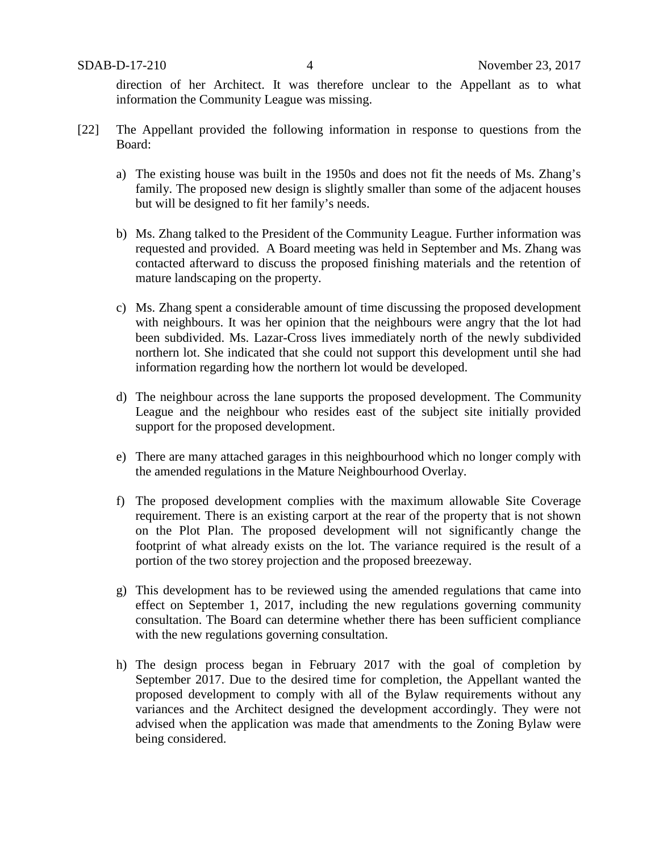direction of her Architect. It was therefore unclear to the Appellant as to what information the Community League was missing.

- [22] The Appellant provided the following information in response to questions from the Board:
	- a) The existing house was built in the 1950s and does not fit the needs of Ms. Zhang's family. The proposed new design is slightly smaller than some of the adjacent houses but will be designed to fit her family's needs.
	- b) Ms. Zhang talked to the President of the Community League. Further information was requested and provided. A Board meeting was held in September and Ms. Zhang was contacted afterward to discuss the proposed finishing materials and the retention of mature landscaping on the property.
	- c) Ms. Zhang spent a considerable amount of time discussing the proposed development with neighbours. It was her opinion that the neighbours were angry that the lot had been subdivided. Ms. Lazar-Cross lives immediately north of the newly subdivided northern lot. She indicated that she could not support this development until she had information regarding how the northern lot would be developed.
	- d) The neighbour across the lane supports the proposed development. The Community League and the neighbour who resides east of the subject site initially provided support for the proposed development.
	- e) There are many attached garages in this neighbourhood which no longer comply with the amended regulations in the Mature Neighbourhood Overlay.
	- f) The proposed development complies with the maximum allowable Site Coverage requirement. There is an existing carport at the rear of the property that is not shown on the Plot Plan. The proposed development will not significantly change the footprint of what already exists on the lot. The variance required is the result of a portion of the two storey projection and the proposed breezeway.
	- g) This development has to be reviewed using the amended regulations that came into effect on September 1, 2017, including the new regulations governing community consultation. The Board can determine whether there has been sufficient compliance with the new regulations governing consultation.
	- h) The design process began in February 2017 with the goal of completion by September 2017. Due to the desired time for completion, the Appellant wanted the proposed development to comply with all of the Bylaw requirements without any variances and the Architect designed the development accordingly. They were not advised when the application was made that amendments to the Zoning Bylaw were being considered.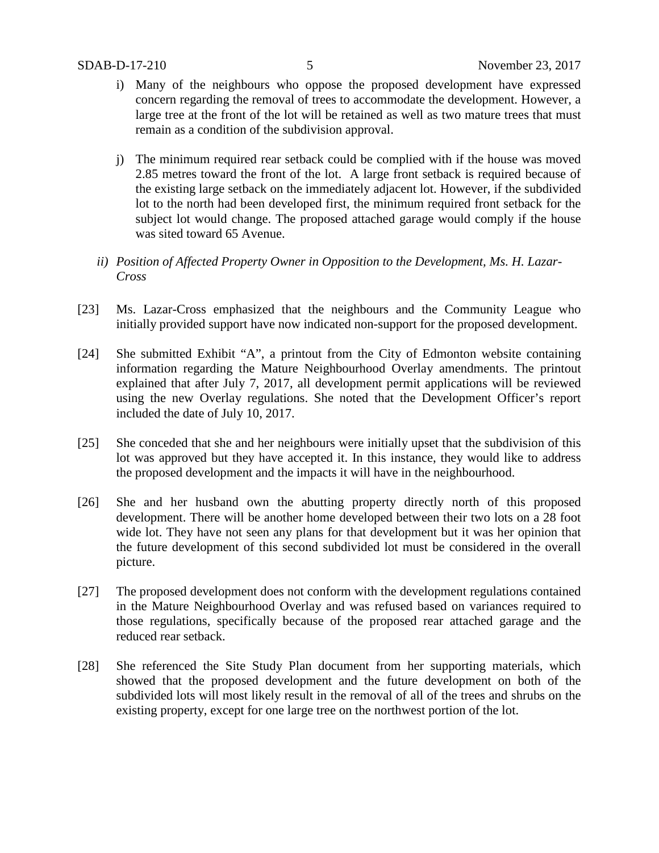- i) Many of the neighbours who oppose the proposed development have expressed concern regarding the removal of trees to accommodate the development. However, a large tree at the front of the lot will be retained as well as two mature trees that must remain as a condition of the subdivision approval.
- j) The minimum required rear setback could be complied with if the house was moved 2.85 metres toward the front of the lot. A large front setback is required because of the existing large setback on the immediately adjacent lot. However, if the subdivided lot to the north had been developed first, the minimum required front setback for the subject lot would change. The proposed attached garage would comply if the house was sited toward 65 Avenue.
- *ii) Position of Affected Property Owner in Opposition to the Development, Ms. H. Lazar-Cross*
- [23] Ms. Lazar-Cross emphasized that the neighbours and the Community League who initially provided support have now indicated non-support for the proposed development.
- [24] She submitted Exhibit "A", a printout from the City of Edmonton website containing information regarding the Mature Neighbourhood Overlay amendments. The printout explained that after July 7, 2017, all development permit applications will be reviewed using the new Overlay regulations. She noted that the Development Officer's report included the date of July 10, 2017.
- [25] She conceded that she and her neighbours were initially upset that the subdivision of this lot was approved but they have accepted it. In this instance, they would like to address the proposed development and the impacts it will have in the neighbourhood.
- [26] She and her husband own the abutting property directly north of this proposed development. There will be another home developed between their two lots on a 28 foot wide lot. They have not seen any plans for that development but it was her opinion that the future development of this second subdivided lot must be considered in the overall picture.
- [27] The proposed development does not conform with the development regulations contained in the Mature Neighbourhood Overlay and was refused based on variances required to those regulations, specifically because of the proposed rear attached garage and the reduced rear setback.
- [28] She referenced the Site Study Plan document from her supporting materials, which showed that the proposed development and the future development on both of the subdivided lots will most likely result in the removal of all of the trees and shrubs on the existing property, except for one large tree on the northwest portion of the lot.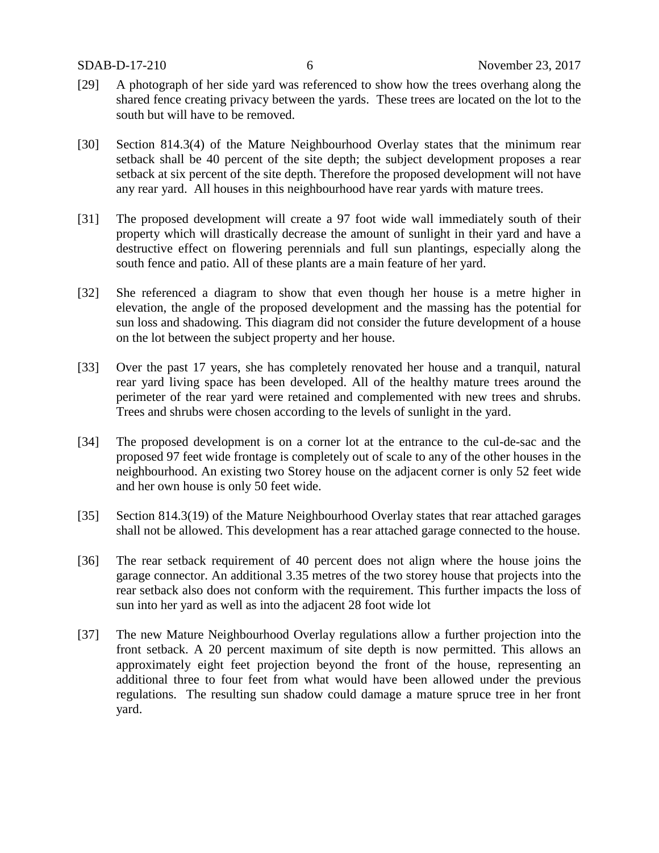- [29] A photograph of her side yard was referenced to show how the trees overhang along the shared fence creating privacy between the yards. These trees are located on the lot to the south but will have to be removed.
- [30] Section 814.3(4) of the Mature Neighbourhood Overlay states that the minimum rear setback shall be 40 percent of the site depth; the subject development proposes a rear setback at six percent of the site depth. Therefore the proposed development will not have any rear yard. All houses in this neighbourhood have rear yards with mature trees.
- [31] The proposed development will create a 97 foot wide wall immediately south of their property which will drastically decrease the amount of sunlight in their yard and have a destructive effect on flowering perennials and full sun plantings, especially along the south fence and patio. All of these plants are a main feature of her yard.
- [32] She referenced a diagram to show that even though her house is a metre higher in elevation, the angle of the proposed development and the massing has the potential for sun loss and shadowing. This diagram did not consider the future development of a house on the lot between the subject property and her house.
- [33] Over the past 17 years, she has completely renovated her house and a tranquil, natural rear yard living space has been developed. All of the healthy mature trees around the perimeter of the rear yard were retained and complemented with new trees and shrubs. Trees and shrubs were chosen according to the levels of sunlight in the yard.
- [34] The proposed development is on a corner lot at the entrance to the cul-de-sac and the proposed 97 feet wide frontage is completely out of scale to any of the other houses in the neighbourhood. An existing two Storey house on the adjacent corner is only 52 feet wide and her own house is only 50 feet wide.
- [35] Section 814.3(19) of the Mature Neighbourhood Overlay states that rear attached garages shall not be allowed. This development has a rear attached garage connected to the house.
- [36] The rear setback requirement of 40 percent does not align where the house joins the garage connector. An additional 3.35 metres of the two storey house that projects into the rear setback also does not conform with the requirement. This further impacts the loss of sun into her yard as well as into the adjacent 28 foot wide lot
- [37] The new Mature Neighbourhood Overlay regulations allow a further projection into the front setback. A 20 percent maximum of site depth is now permitted. This allows an approximately eight feet projection beyond the front of the house, representing an additional three to four feet from what would have been allowed under the previous regulations. The resulting sun shadow could damage a mature spruce tree in her front yard.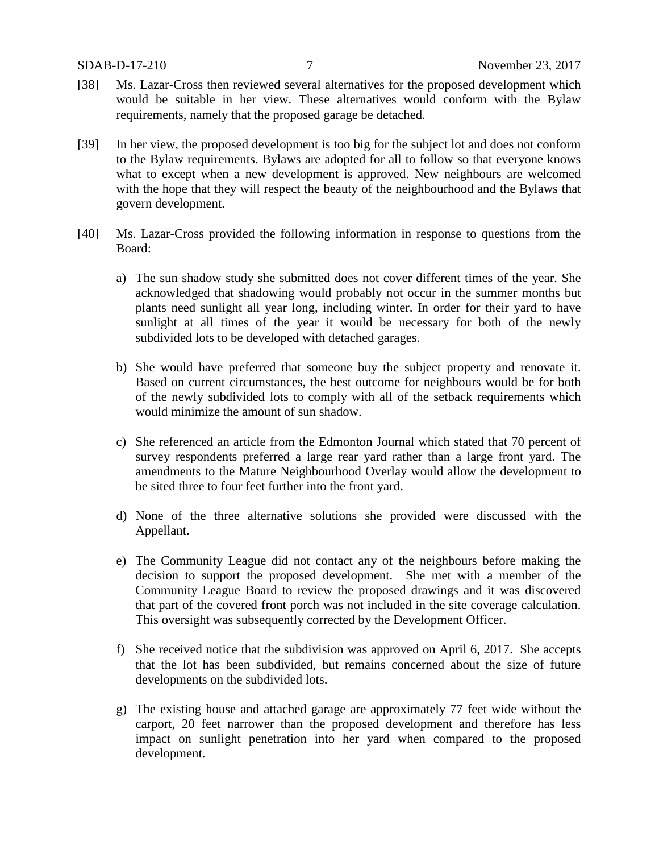- [38] Ms. Lazar-Cross then reviewed several alternatives for the proposed development which would be suitable in her view. These alternatives would conform with the Bylaw requirements, namely that the proposed garage be detached.
- [39] In her view, the proposed development is too big for the subject lot and does not conform to the Bylaw requirements. Bylaws are adopted for all to follow so that everyone knows what to except when a new development is approved. New neighbours are welcomed with the hope that they will respect the beauty of the neighbourhood and the Bylaws that govern development.
- [40] Ms. Lazar-Cross provided the following information in response to questions from the Board:
	- a) The sun shadow study she submitted does not cover different times of the year. She acknowledged that shadowing would probably not occur in the summer months but plants need sunlight all year long, including winter. In order for their yard to have sunlight at all times of the year it would be necessary for both of the newly subdivided lots to be developed with detached garages.
	- b) She would have preferred that someone buy the subject property and renovate it. Based on current circumstances, the best outcome for neighbours would be for both of the newly subdivided lots to comply with all of the setback requirements which would minimize the amount of sun shadow.
	- c) She referenced an article from the Edmonton Journal which stated that 70 percent of survey respondents preferred a large rear yard rather than a large front yard. The amendments to the Mature Neighbourhood Overlay would allow the development to be sited three to four feet further into the front yard.
	- d) None of the three alternative solutions she provided were discussed with the Appellant.
	- e) The Community League did not contact any of the neighbours before making the decision to support the proposed development. She met with a member of the Community League Board to review the proposed drawings and it was discovered that part of the covered front porch was not included in the site coverage calculation. This oversight was subsequently corrected by the Development Officer.
	- f) She received notice that the subdivision was approved on April 6, 2017. She accepts that the lot has been subdivided, but remains concerned about the size of future developments on the subdivided lots.
	- g) The existing house and attached garage are approximately 77 feet wide without the carport, 20 feet narrower than the proposed development and therefore has less impact on sunlight penetration into her yard when compared to the proposed development.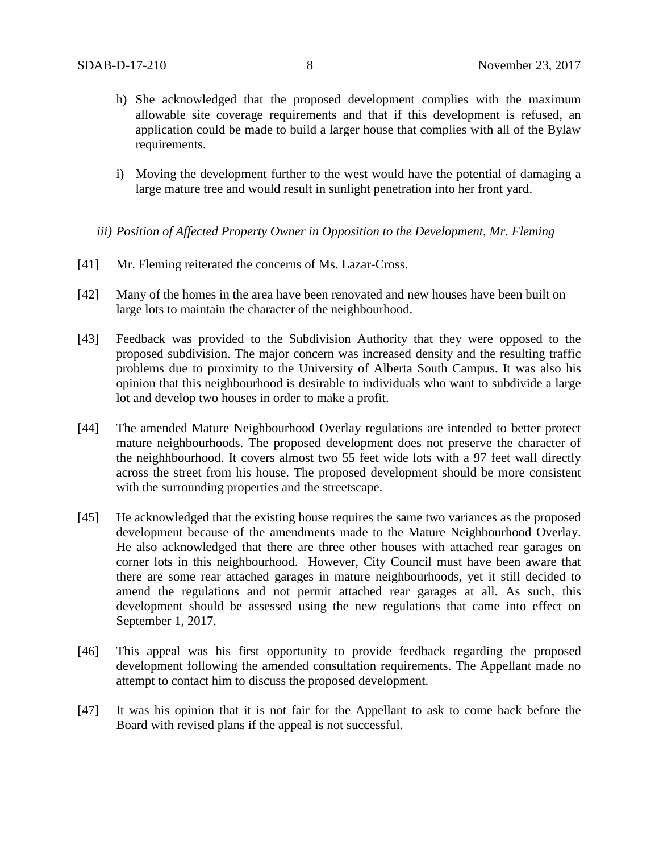- h) She acknowledged that the proposed development complies with the maximum allowable site coverage requirements and that if this development is refused, an application could be made to build a larger house that complies with all of the Bylaw requirements.
- i) Moving the development further to the west would have the potential of damaging a large mature tree and would result in sunlight penetration into her front yard.
- *iii) Position of Affected Property Owner in Opposition to the Development, Mr. Fleming*
- [41] Mr. Fleming reiterated the concerns of Ms. Lazar-Cross.
- [42] Many of the homes in the area have been renovated and new houses have been built on large lots to maintain the character of the neighbourhood.
- [43] Feedback was provided to the Subdivision Authority that they were opposed to the proposed subdivision. The major concern was increased density and the resulting traffic problems due to proximity to the University of Alberta South Campus. It was also his opinion that this neighbourhood is desirable to individuals who want to subdivide a large lot and develop two houses in order to make a profit.
- [44] The amended Mature Neighbourhood Overlay regulations are intended to better protect mature neighbourhoods. The proposed development does not preserve the character of the neighhbourhood. It covers almost two 55 feet wide lots with a 97 feet wall directly across the street from his house. The proposed development should be more consistent with the surrounding properties and the streetscape.
- [45] He acknowledged that the existing house requires the same two variances as the proposed development because of the amendments made to the Mature Neighbourhood Overlay. He also acknowledged that there are three other houses with attached rear garages on corner lots in this neighbourhood. However, City Council must have been aware that there are some rear attached garages in mature neighbourhoods, yet it still decided to amend the regulations and not permit attached rear garages at all. As such, this development should be assessed using the new regulations that came into effect on September 1, 2017.
- [46] This appeal was his first opportunity to provide feedback regarding the proposed development following the amended consultation requirements. The Appellant made no attempt to contact him to discuss the proposed development.
- [47] It was his opinion that it is not fair for the Appellant to ask to come back before the Board with revised plans if the appeal is not successful.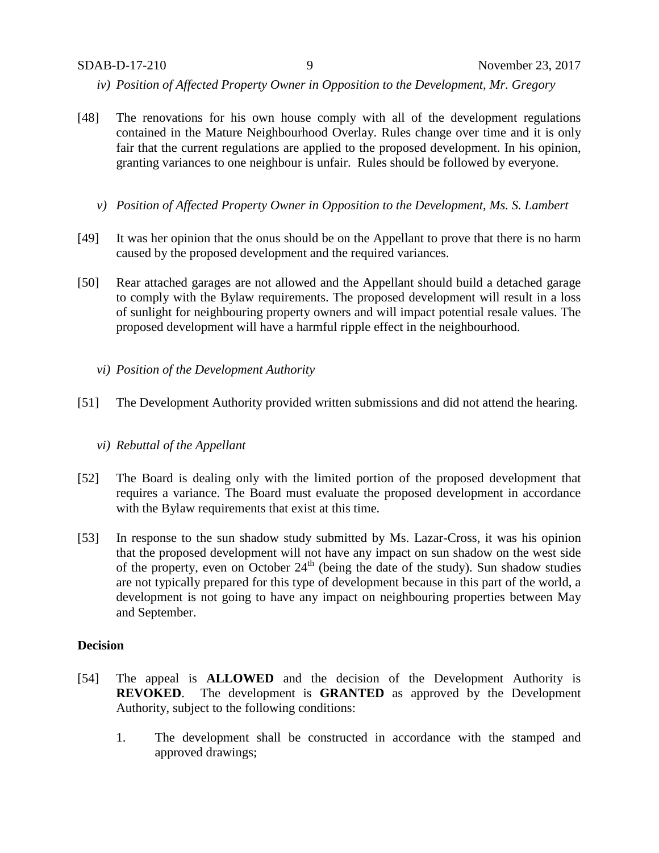- *iv) Position of Affected Property Owner in Opposition to the Development, Mr. Gregory*
- [48] The renovations for his own house comply with all of the development regulations contained in the Mature Neighbourhood Overlay. Rules change over time and it is only fair that the current regulations are applied to the proposed development. In his opinion, granting variances to one neighbour is unfair. Rules should be followed by everyone.
	- *v) Position of Affected Property Owner in Opposition to the Development, Ms. S. Lambert*
- [49] It was her opinion that the onus should be on the Appellant to prove that there is no harm caused by the proposed development and the required variances.
- [50] Rear attached garages are not allowed and the Appellant should build a detached garage to comply with the Bylaw requirements. The proposed development will result in a loss of sunlight for neighbouring property owners and will impact potential resale values. The proposed development will have a harmful ripple effect in the neighbourhood.
	- *vi) Position of the Development Authority*
- [51] The Development Authority provided written submissions and did not attend the hearing.
	- *vi) Rebuttal of the Appellant*
- [52] The Board is dealing only with the limited portion of the proposed development that requires a variance. The Board must evaluate the proposed development in accordance with the Bylaw requirements that exist at this time.
- [53] In response to the sun shadow study submitted by Ms. Lazar-Cross, it was his opinion that the proposed development will not have any impact on sun shadow on the west side of the property, even on October  $24<sup>th</sup>$  (being the date of the study). Sun shadow studies are not typically prepared for this type of development because in this part of the world, a development is not going to have any impact on neighbouring properties between May and September.

## **Decision**

- [54] The appeal is **ALLOWED** and the decision of the Development Authority is **REVOKED**. The development is **GRANTED** as approved by the Development Authority, subject to the following conditions:
	- 1. The development shall be constructed in accordance with the stamped and approved drawings;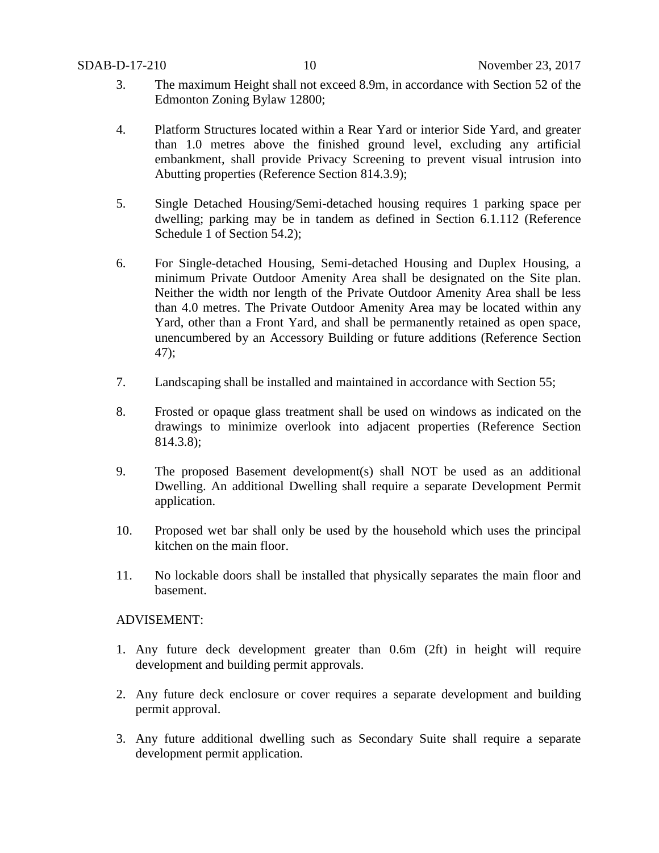- 3. The maximum Height shall not exceed 8.9m, in accordance with Section 52 of the Edmonton Zoning Bylaw 12800;
- 4. Platform Structures located within a Rear Yard or interior Side Yard, and greater than 1.0 metres above the finished ground level, excluding any artificial embankment, shall provide Privacy Screening to prevent visual intrusion into Abutting properties (Reference Section 814.3.9);
- 5. Single Detached Housing/Semi-detached housing requires 1 parking space per dwelling; parking may be in tandem as defined in Section 6.1.112 (Reference Schedule 1 of Section 54.2);
- 6. For Single-detached Housing, Semi-detached Housing and Duplex Housing, a minimum Private Outdoor Amenity Area shall be designated on the Site plan. Neither the width nor length of the Private Outdoor Amenity Area shall be less than 4.0 metres. The Private Outdoor Amenity Area may be located within any Yard, other than a Front Yard, and shall be permanently retained as open space, unencumbered by an Accessory Building or future additions (Reference Section 47);
- 7. Landscaping shall be installed and maintained in accordance with Section 55;
- 8. Frosted or opaque glass treatment shall be used on windows as indicated on the drawings to minimize overlook into adjacent properties (Reference Section 814.3.8);
- 9. The proposed Basement development(s) shall NOT be used as an additional Dwelling. An additional Dwelling shall require a separate Development Permit application.
- 10. Proposed wet bar shall only be used by the household which uses the principal kitchen on the main floor.
- 11. No lockable doors shall be installed that physically separates the main floor and basement.

# ADVISEMENT:

- 1. Any future deck development greater than 0.6m (2ft) in height will require development and building permit approvals.
- 2. Any future deck enclosure or cover requires a separate development and building permit approval.
- 3. Any future additional dwelling such as Secondary Suite shall require a separate development permit application.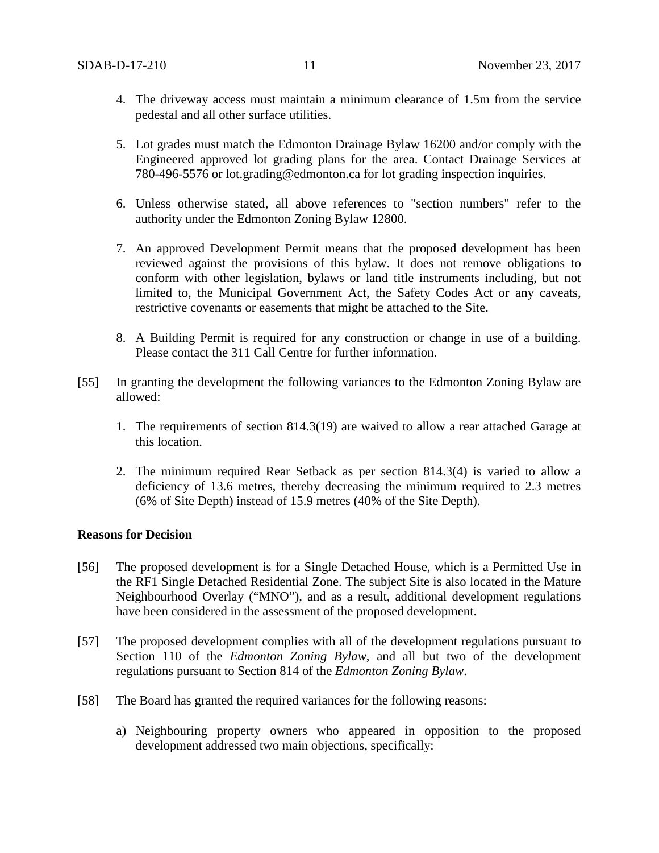- 4. The driveway access must maintain a minimum clearance of 1.5m from the service pedestal and all other surface utilities.
- 5. Lot grades must match the Edmonton Drainage Bylaw 16200 and/or comply with the Engineered approved lot grading plans for the area. Contact Drainage Services at 780-496-5576 or lot.grading@edmonton.ca for lot grading inspection inquiries.
- 6. Unless otherwise stated, all above references to "section numbers" refer to the authority under the Edmonton Zoning Bylaw 12800.
- 7. An approved Development Permit means that the proposed development has been reviewed against the provisions of this bylaw. It does not remove obligations to conform with other legislation, bylaws or land title instruments including, but not limited to, the Municipal Government Act, the Safety Codes Act or any caveats, restrictive covenants or easements that might be attached to the Site.
- 8. A Building Permit is required for any construction or change in use of a building. Please contact the 311 Call Centre for further information.
- [55] In granting the development the following variances to the Edmonton Zoning Bylaw are allowed:
	- 1. The requirements of section 814.3(19) are waived to allow a rear attached Garage at this location.
	- 2. The minimum required Rear Setback as per section 814.3(4) is varied to allow a deficiency of 13.6 metres, thereby decreasing the minimum required to 2.3 metres (6% of Site Depth) instead of 15.9 metres (40% of the Site Depth).

# **Reasons for Decision**

- [56] The proposed development is for a Single Detached House, which is a Permitted Use in the RF1 Single Detached Residential Zone. The subject Site is also located in the Mature Neighbourhood Overlay ("MNO"), and as a result, additional development regulations have been considered in the assessment of the proposed development.
- [57] The proposed development complies with all of the development regulations pursuant to Section 110 of the *Edmonton Zoning Bylaw*, and all but two of the development regulations pursuant to Section 814 of the *Edmonton Zoning Bylaw*.
- [58] The Board has granted the required variances for the following reasons:
	- a) Neighbouring property owners who appeared in opposition to the proposed development addressed two main objections, specifically: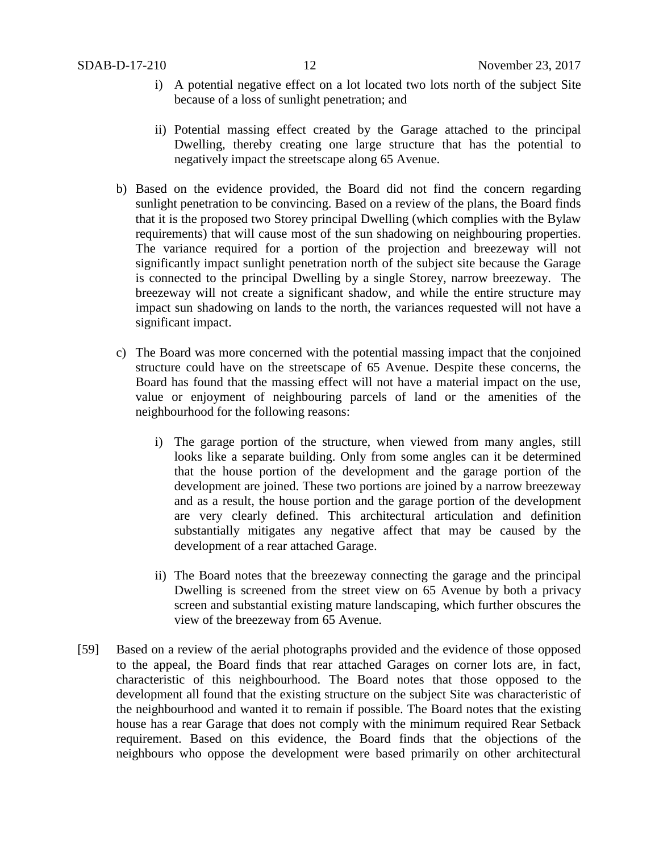- i) A potential negative effect on a lot located two lots north of the subject Site because of a loss of sunlight penetration; and
- ii) Potential massing effect created by the Garage attached to the principal Dwelling, thereby creating one large structure that has the potential to negatively impact the streetscape along 65 Avenue.
- b) Based on the evidence provided, the Board did not find the concern regarding sunlight penetration to be convincing. Based on a review of the plans, the Board finds that it is the proposed two Storey principal Dwelling (which complies with the Bylaw requirements) that will cause most of the sun shadowing on neighbouring properties. The variance required for a portion of the projection and breezeway will not significantly impact sunlight penetration north of the subject site because the Garage is connected to the principal Dwelling by a single Storey, narrow breezeway. The breezeway will not create a significant shadow, and while the entire structure may impact sun shadowing on lands to the north, the variances requested will not have a significant impact.
- c) The Board was more concerned with the potential massing impact that the conjoined structure could have on the streetscape of 65 Avenue. Despite these concerns, the Board has found that the massing effect will not have a material impact on the use, value or enjoyment of neighbouring parcels of land or the amenities of the neighbourhood for the following reasons:
	- i) The garage portion of the structure, when viewed from many angles, still looks like a separate building. Only from some angles can it be determined that the house portion of the development and the garage portion of the development are joined. These two portions are joined by a narrow breezeway and as a result, the house portion and the garage portion of the development are very clearly defined. This architectural articulation and definition substantially mitigates any negative affect that may be caused by the development of a rear attached Garage.
	- ii) The Board notes that the breezeway connecting the garage and the principal Dwelling is screened from the street view on 65 Avenue by both a privacy screen and substantial existing mature landscaping, which further obscures the view of the breezeway from 65 Avenue.
- [59] Based on a review of the aerial photographs provided and the evidence of those opposed to the appeal, the Board finds that rear attached Garages on corner lots are, in fact, characteristic of this neighbourhood. The Board notes that those opposed to the development all found that the existing structure on the subject Site was characteristic of the neighbourhood and wanted it to remain if possible. The Board notes that the existing house has a rear Garage that does not comply with the minimum required Rear Setback requirement. Based on this evidence, the Board finds that the objections of the neighbours who oppose the development were based primarily on other architectural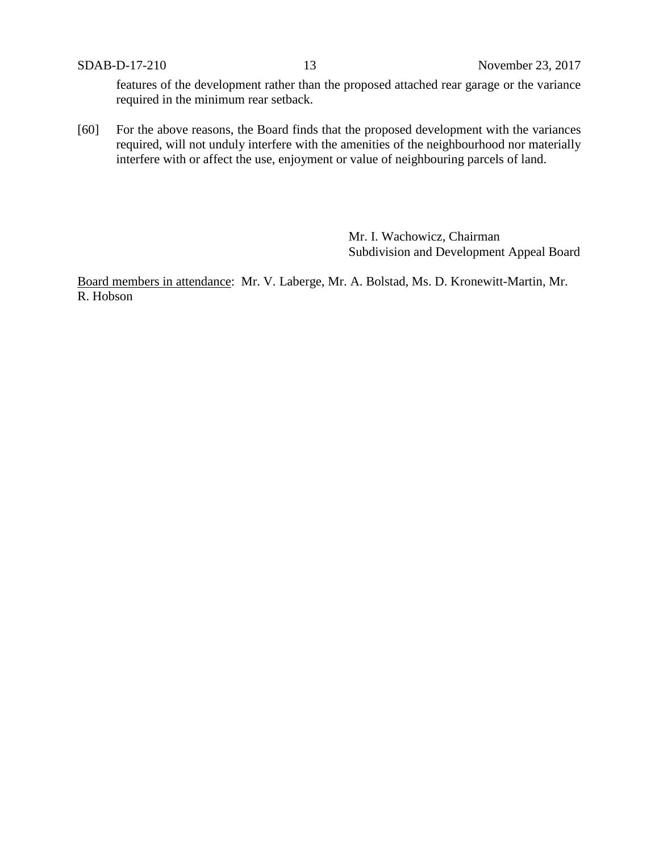features of the development rather than the proposed attached rear garage or the variance required in the minimum rear setback.

[60] For the above reasons, the Board finds that the proposed development with the variances required, will not unduly interfere with the amenities of the neighbourhood nor materially interfere with or affect the use, enjoyment or value of neighbouring parcels of land.

> Mr. I. Wachowicz, Chairman Subdivision and Development Appeal Board

Board members in attendance: Mr. V. Laberge, Mr. A. Bolstad, Ms. D. Kronewitt-Martin, Mr. R. Hobson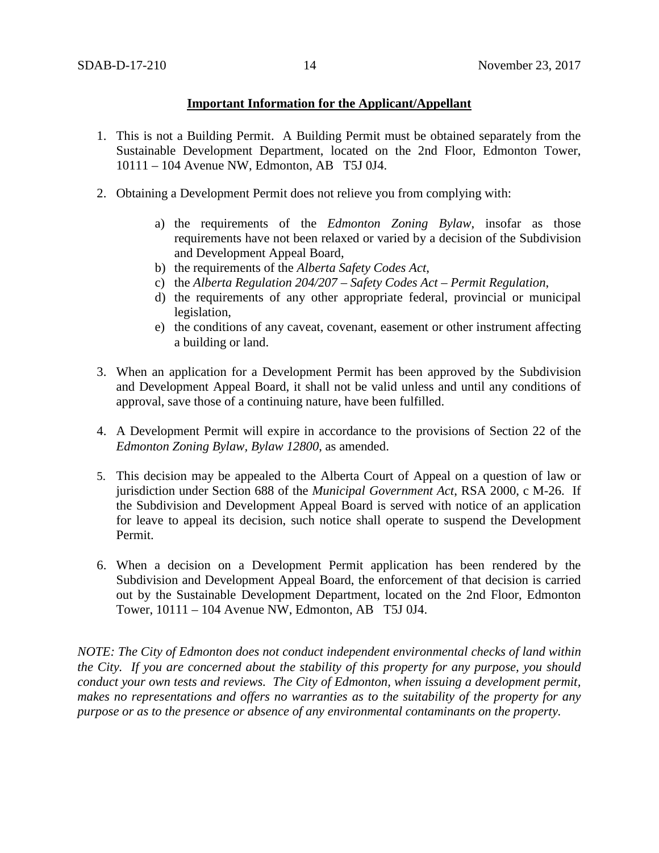# **Important Information for the Applicant/Appellant**

- 1. This is not a Building Permit. A Building Permit must be obtained separately from the Sustainable Development Department, located on the 2nd Floor, Edmonton Tower, 10111 – 104 Avenue NW, Edmonton, AB T5J 0J4.
- 2. Obtaining a Development Permit does not relieve you from complying with:
	- a) the requirements of the *Edmonton Zoning Bylaw*, insofar as those requirements have not been relaxed or varied by a decision of the Subdivision and Development Appeal Board,
	- b) the requirements of the *Alberta Safety Codes Act*,
	- c) the *Alberta Regulation 204/207 – Safety Codes Act – Permit Regulation*,
	- d) the requirements of any other appropriate federal, provincial or municipal legislation,
	- e) the conditions of any caveat, covenant, easement or other instrument affecting a building or land.
- 3. When an application for a Development Permit has been approved by the Subdivision and Development Appeal Board, it shall not be valid unless and until any conditions of approval, save those of a continuing nature, have been fulfilled.
- 4. A Development Permit will expire in accordance to the provisions of Section 22 of the *Edmonton Zoning Bylaw, Bylaw 12800*, as amended.
- 5. This decision may be appealed to the Alberta Court of Appeal on a question of law or jurisdiction under Section 688 of the *Municipal Government Act*, RSA 2000, c M-26. If the Subdivision and Development Appeal Board is served with notice of an application for leave to appeal its decision, such notice shall operate to suspend the Development Permit.
- 6. When a decision on a Development Permit application has been rendered by the Subdivision and Development Appeal Board, the enforcement of that decision is carried out by the Sustainable Development Department, located on the 2nd Floor, Edmonton Tower, 10111 – 104 Avenue NW, Edmonton, AB T5J 0J4.

*NOTE: The City of Edmonton does not conduct independent environmental checks of land within the City. If you are concerned about the stability of this property for any purpose, you should conduct your own tests and reviews. The City of Edmonton, when issuing a development permit, makes no representations and offers no warranties as to the suitability of the property for any purpose or as to the presence or absence of any environmental contaminants on the property.*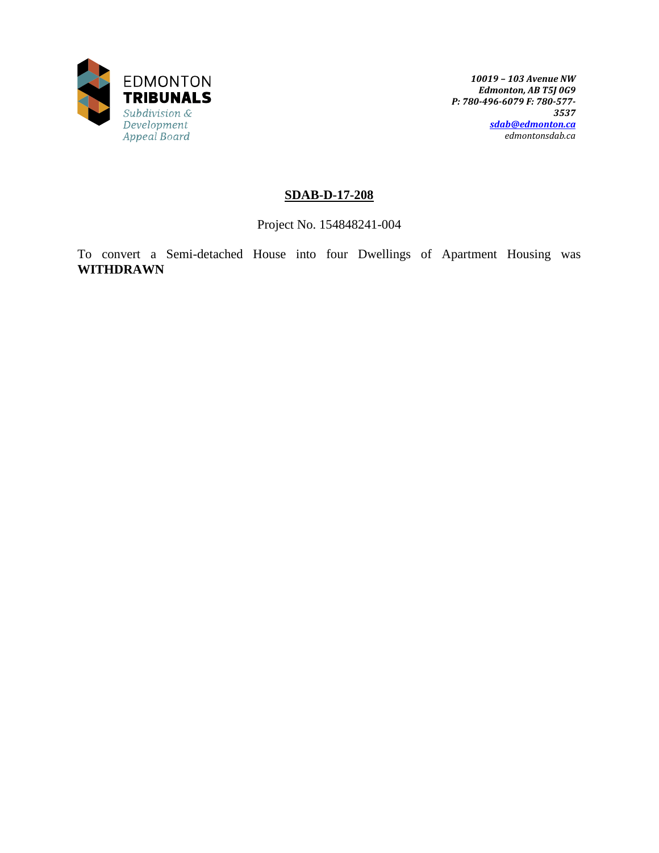

# **SDAB-D-17-208**

Project No. 154848241-004

To convert a Semi-detached House into four Dwellings of Apartment Housing was **WITHDRAWN**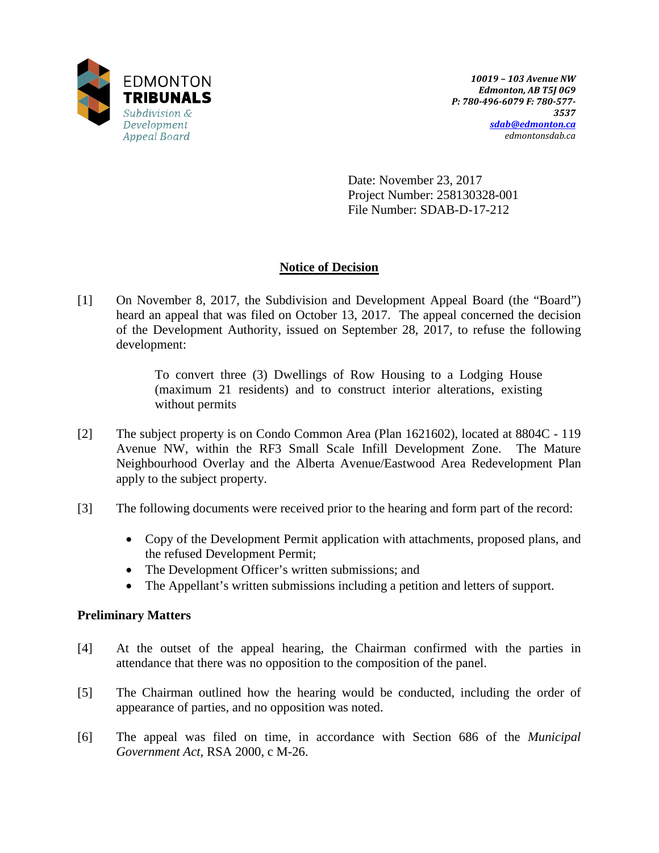

Date: November 23, 2017 Project Number: 258130328-001 File Number: SDAB-D-17-212

# **Notice of Decision**

[1] On November 8, 2017, the Subdivision and Development Appeal Board (the "Board") heard an appeal that was filed on October 13, 2017. The appeal concerned the decision of the Development Authority, issued on September 28, 2017, to refuse the following development:

> To convert three (3) Dwellings of Row Housing to a Lodging House (maximum 21 residents) and to construct interior alterations, existing without permits

- [2] The subject property is on Condo Common Area (Plan 1621602), located at 8804C 119 Avenue NW, within the RF3 Small Scale Infill Development Zone. The Mature Neighbourhood Overlay and the Alberta Avenue/Eastwood Area Redevelopment Plan apply to the subject property.
- [3] The following documents were received prior to the hearing and form part of the record:
	- Copy of the Development Permit application with attachments, proposed plans, and the refused Development Permit;
	- The Development Officer's written submissions; and
	- The Appellant's written submissions including a petition and letters of support.

# **Preliminary Matters**

- [4] At the outset of the appeal hearing, the Chairman confirmed with the parties in attendance that there was no opposition to the composition of the panel.
- [5] The Chairman outlined how the hearing would be conducted, including the order of appearance of parties, and no opposition was noted.
- [6] The appeal was filed on time, in accordance with Section 686 of the *Municipal Government Act*, RSA 2000, c M-26.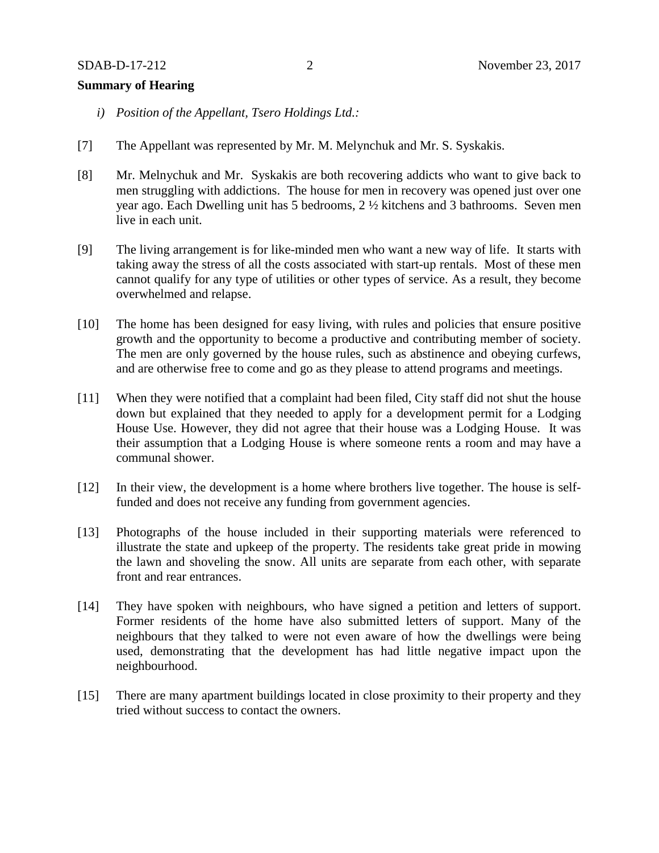#### **Summary of Hearing**

- *i) Position of the Appellant, Tsero Holdings Ltd.:*
- [7] The Appellant was represented by Mr. M. Melynchuk and Mr. S. Syskakis.
- [8] Mr. Melnychuk and Mr. Syskakis are both recovering addicts who want to give back to men struggling with addictions. The house for men in recovery was opened just over one year ago. Each Dwelling unit has 5 bedrooms, 2 ½ kitchens and 3 bathrooms. Seven men live in each unit.
- [9] The living arrangement is for like-minded men who want a new way of life. It starts with taking away the stress of all the costs associated with start-up rentals. Most of these men cannot qualify for any type of utilities or other types of service. As a result, they become overwhelmed and relapse.
- [10] The home has been designed for easy living, with rules and policies that ensure positive growth and the opportunity to become a productive and contributing member of society. The men are only governed by the house rules, such as abstinence and obeying curfews, and are otherwise free to come and go as they please to attend programs and meetings.
- [11] When they were notified that a complaint had been filed, City staff did not shut the house down but explained that they needed to apply for a development permit for a Lodging House Use. However, they did not agree that their house was a Lodging House. It was their assumption that a Lodging House is where someone rents a room and may have a communal shower.
- [12] In their view, the development is a home where brothers live together. The house is selffunded and does not receive any funding from government agencies.
- [13] Photographs of the house included in their supporting materials were referenced to illustrate the state and upkeep of the property. The residents take great pride in mowing the lawn and shoveling the snow. All units are separate from each other, with separate front and rear entrances.
- [14] They have spoken with neighbours, who have signed a petition and letters of support. Former residents of the home have also submitted letters of support. Many of the neighbours that they talked to were not even aware of how the dwellings were being used, demonstrating that the development has had little negative impact upon the neighbourhood.
- [15] There are many apartment buildings located in close proximity to their property and they tried without success to contact the owners.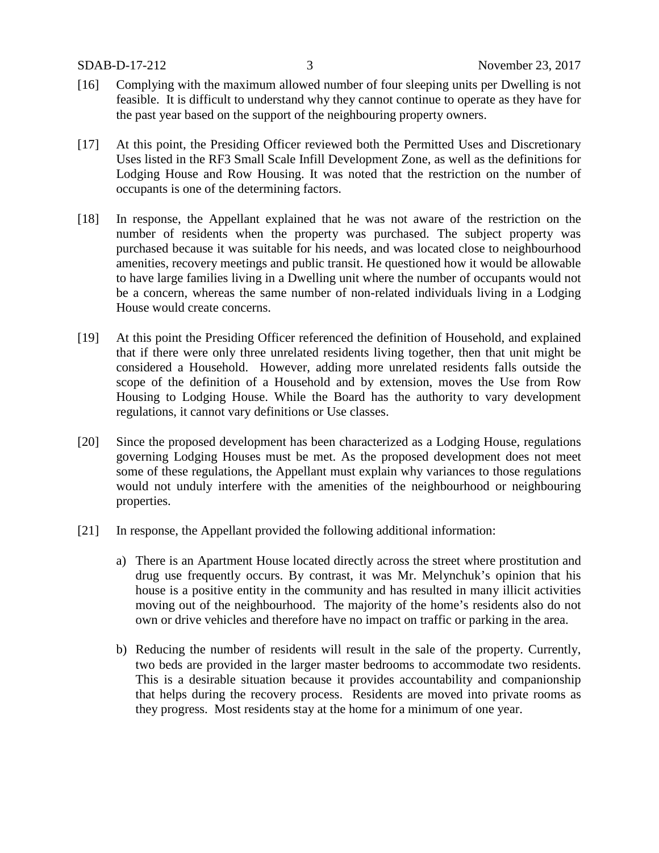- [16] Complying with the maximum allowed number of four sleeping units per Dwelling is not feasible. It is difficult to understand why they cannot continue to operate as they have for the past year based on the support of the neighbouring property owners.
- [17] At this point, the Presiding Officer reviewed both the Permitted Uses and Discretionary Uses listed in the RF3 Small Scale Infill Development Zone, as well as the definitions for Lodging House and Row Housing. It was noted that the restriction on the number of occupants is one of the determining factors.
- [18] In response, the Appellant explained that he was not aware of the restriction on the number of residents when the property was purchased. The subject property was purchased because it was suitable for his needs, and was located close to neighbourhood amenities, recovery meetings and public transit. He questioned how it would be allowable to have large families living in a Dwelling unit where the number of occupants would not be a concern, whereas the same number of non-related individuals living in a Lodging House would create concerns.
- [19] At this point the Presiding Officer referenced the definition of Household, and explained that if there were only three unrelated residents living together, then that unit might be considered a Household. However, adding more unrelated residents falls outside the scope of the definition of a Household and by extension, moves the Use from Row Housing to Lodging House. While the Board has the authority to vary development regulations, it cannot vary definitions or Use classes.
- [20] Since the proposed development has been characterized as a Lodging House, regulations governing Lodging Houses must be met. As the proposed development does not meet some of these regulations, the Appellant must explain why variances to those regulations would not unduly interfere with the amenities of the neighbourhood or neighbouring properties.
- [21] In response, the Appellant provided the following additional information:
	- a) There is an Apartment House located directly across the street where prostitution and drug use frequently occurs. By contrast, it was Mr. Melynchuk's opinion that his house is a positive entity in the community and has resulted in many illicit activities moving out of the neighbourhood. The majority of the home's residents also do not own or drive vehicles and therefore have no impact on traffic or parking in the area.
	- b) Reducing the number of residents will result in the sale of the property. Currently, two beds are provided in the larger master bedrooms to accommodate two residents. This is a desirable situation because it provides accountability and companionship that helps during the recovery process. Residents are moved into private rooms as they progress. Most residents stay at the home for a minimum of one year.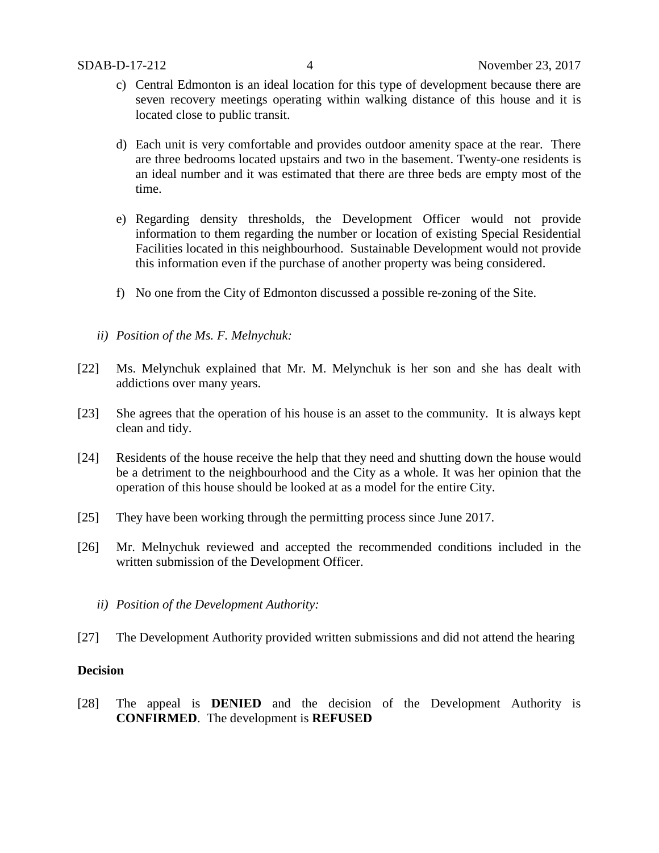- c) Central Edmonton is an ideal location for this type of development because there are seven recovery meetings operating within walking distance of this house and it is located close to public transit.
- d) Each unit is very comfortable and provides outdoor amenity space at the rear. There are three bedrooms located upstairs and two in the basement. Twenty-one residents is an ideal number and it was estimated that there are three beds are empty most of the time.
- e) Regarding density thresholds, the Development Officer would not provide information to them regarding the number or location of existing Special Residential Facilities located in this neighbourhood. Sustainable Development would not provide this information even if the purchase of another property was being considered.
- f) No one from the City of Edmonton discussed a possible re-zoning of the Site.
- *ii) Position of the Ms. F. Melnychuk:*
- [22] Ms. Melynchuk explained that Mr. M. Melynchuk is her son and she has dealt with addictions over many years.
- [23] She agrees that the operation of his house is an asset to the community. It is always kept clean and tidy.
- [24] Residents of the house receive the help that they need and shutting down the house would be a detriment to the neighbourhood and the City as a whole. It was her opinion that the operation of this house should be looked at as a model for the entire City.
- [25] They have been working through the permitting process since June 2017.
- [26] Mr. Melnychuk reviewed and accepted the recommended conditions included in the written submission of the Development Officer.
	- *ii) Position of the Development Authority:*
- [27] The Development Authority provided written submissions and did not attend the hearing

## **Decision**

[28] The appeal is **DENIED** and the decision of the Development Authority is **CONFIRMED**. The development is **REFUSED**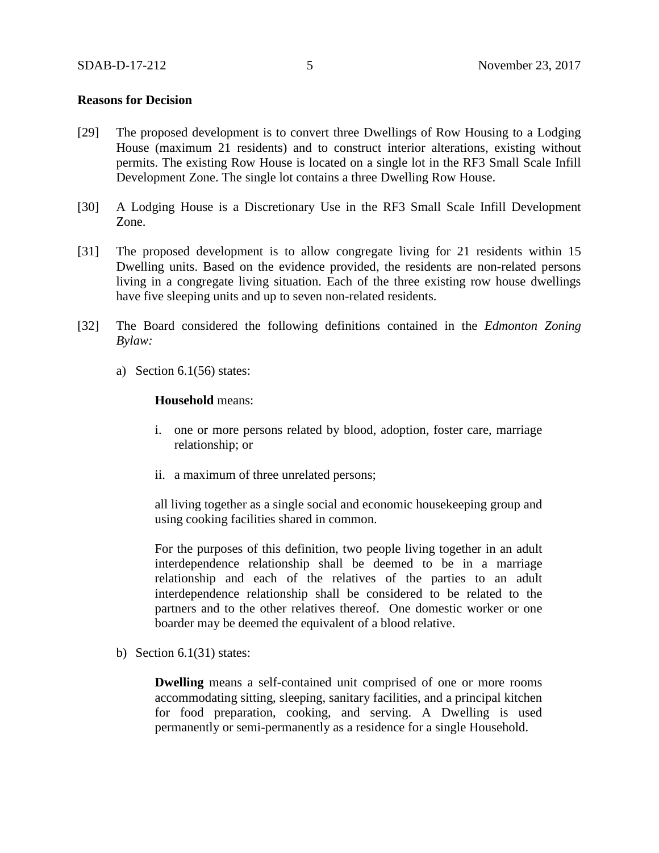## **Reasons for Decision**

- [29] The proposed development is to convert three Dwellings of Row Housing to a Lodging House (maximum 21 residents) and to construct interior alterations, existing without permits. The existing Row House is located on a single lot in the RF3 Small Scale Infill Development Zone. The single lot contains a three Dwelling Row House.
- [30] A Lodging House is a Discretionary Use in the RF3 Small Scale Infill Development Zone.
- [31] The proposed development is to allow congregate living for 21 residents within 15 Dwelling units. Based on the evidence provided, the residents are non-related persons living in a congregate living situation. Each of the three existing row house dwellings have five sleeping units and up to seven non-related residents.
- [32] The Board considered the following definitions contained in the *Edmonton Zoning Bylaw:*
	- a) Section  $6.1(56)$  states:

#### **Household** means:

- i. one or more persons related by blood, adoption, foster care, marriage relationship; or
- ii. a maximum of three unrelated persons;

all living together as a single social and economic housekeeping group and using cooking facilities shared in common.

For the purposes of this definition, two people living together in an adult interdependence relationship shall be deemed to be in a marriage relationship and each of the relatives of the parties to an adult interdependence relationship shall be considered to be related to the partners and to the other relatives thereof. One domestic worker or one boarder may be deemed the equivalent of a blood relative.

b) Section  $6.1(31)$  states:

**Dwelling** means a self-contained unit comprised of one or more rooms accommodating sitting, sleeping, sanitary facilities, and a principal kitchen for food preparation, cooking, and serving. A Dwelling is used permanently or semi-permanently as a residence for a single Household.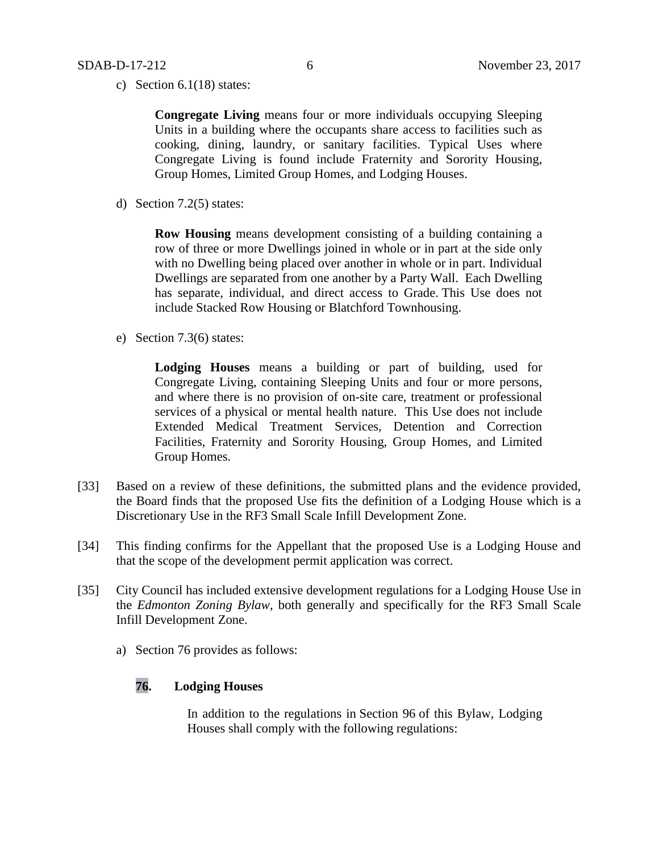c) Section 6.1(18) states:

**Congregate Living** means four or more individuals occupying Sleeping Units in a building where the occupants share access to facilities such as cooking, dining, laundry, or sanitary facilities. Typical Uses where Congregate Living is found include Fraternity and Sorority Housing, Group Homes, Limited Group Homes, and Lodging Houses.

d) Section 7.2(5) states:

**Row Housing** means development consisting of a building containing a row of three or more Dwellings joined in whole or in part at the side only with no Dwelling being placed over another in whole or in part. Individual Dwellings are separated from one another by a Party Wall. Each Dwelling has separate, individual, and direct access to Grade. This Use does not include Stacked Row Housing or Blatchford Townhousing.

e) Section 7.3(6) states:

**Lodging Houses** means a building or part of building, used for Congregate Living, containing Sleeping Units and four or more persons, and where there is no provision of on-site care, treatment or professional services of a physical or mental health nature. This Use does not include Extended Medical Treatment Services, Detention and Correction Facilities, Fraternity and Sorority Housing, Group Homes, and Limited Group Homes.

- [33] Based on a review of these definitions, the submitted plans and the evidence provided, the Board finds that the proposed Use fits the definition of a Lodging House which is a Discretionary Use in the RF3 Small Scale Infill Development Zone.
- [34] This finding confirms for the Appellant that the proposed Use is a Lodging House and that the scope of the development permit application was correct.
- [35] City Council has included extensive development regulations for a Lodging House Use in the *Edmonton Zoning Bylaw*, both generally and specifically for the RF3 Small Scale Infill Development Zone.
	- a) Section 76 provides as follows:

# **76. Lodging Houses**

In addition to the regulations in Section 96 of this Bylaw, Lodging Houses shall comply with the following regulations: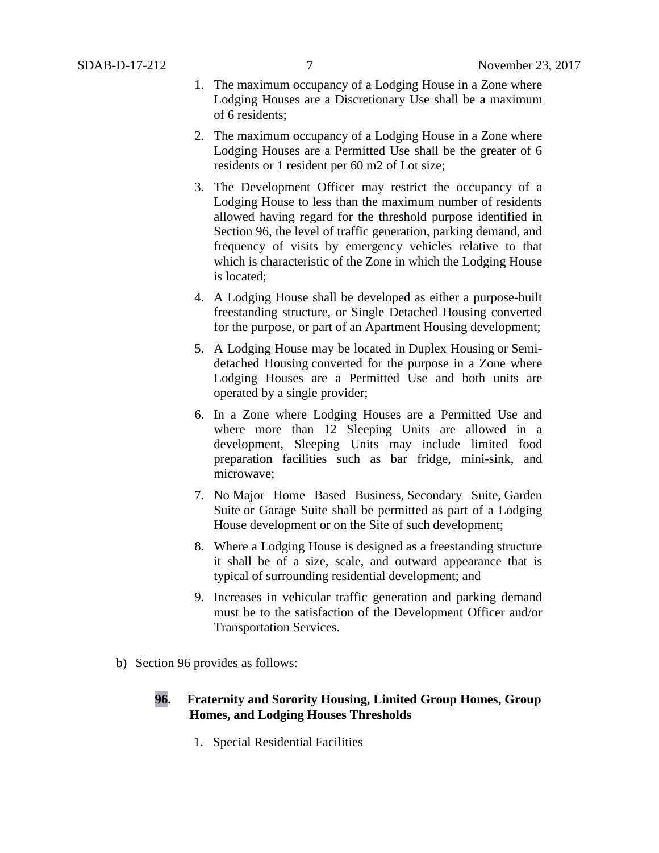- 1. The maximum occupancy of a Lodging House in a Zone where Lodging Houses are a Discretionary Use shall be a maximum of 6 residents;
- 2. The maximum occupancy of a Lodging House in a Zone where Lodging Houses are a Permitted Use shall be the greater of 6 residents or 1 resident per 60 m2 of Lot size;
- 3. The Development Officer may restrict the occupancy of a Lodging House to less than the maximum number of residents allowed having regard for the threshold purpose identified in Section 96, the level of traffic generation, parking demand, and frequency of visits by emergency vehicles relative to that which is characteristic of the Zone in which the Lodging House is located;
- 4. A Lodging House shall be developed as either a purpose-built freestanding structure, or Single Detached Housing converted for the purpose, or part of an Apartment Housing development;
- 5. A Lodging House may be located in Duplex Housing or Semidetached Housing converted for the purpose in a Zone where Lodging Houses are a Permitted Use and both units are operated by a single provider;
- 6. In a Zone where Lodging Houses are a Permitted Use and where more than 12 Sleeping Units are allowed in a development, Sleeping Units may include limited food preparation facilities such as bar fridge, mini-sink, and microwave;
- 7. No Major Home Based Business, Secondary Suite, Garden Suite or Garage Suite shall be permitted as part of a Lodging House development or on the Site of such development;
- 8. Where a Lodging House is designed as a freestanding structure it shall be of a size, scale, and outward appearance that is typical of surrounding residential development; and
- 9. Increases in vehicular traffic generation and parking demand must be to the satisfaction of the Development Officer and/or Transportation Services.
- b) Section 96 provides as follows:

# **96. Fraternity and Sorority Housing, Limited Group Homes, Group Homes, and Lodging Houses Thresholds**

1. Special Residential Facilities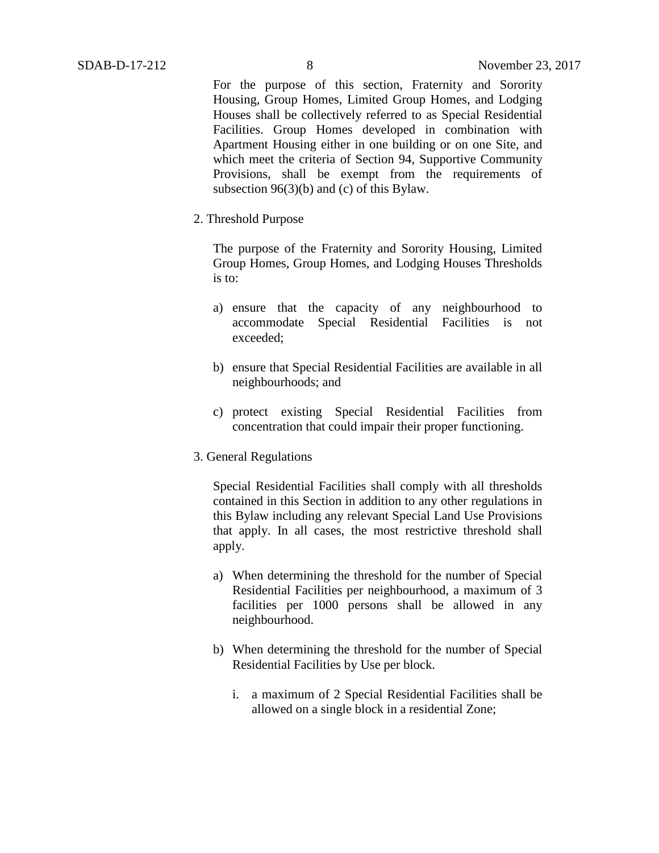For the purpose of this section, Fraternity and Sorority Housing, Group Homes, Limited Group Homes, and Lodging Houses shall be collectively referred to as Special Residential Facilities. Group Homes developed in combination with Apartment Housing either in one building or on one Site, and which meet the criteria of Section 94, Supportive Community Provisions, shall be exempt from the requirements of subsection 96(3)(b) and (c) of this Bylaw.

2. Threshold Purpose

The purpose of the Fraternity and Sorority Housing, Limited Group Homes, Group Homes, and Lodging Houses Thresholds is to:

- a) ensure that the capacity of any neighbourhood to accommodate Special Residential Facilities is not exceeded;
- b) ensure that Special Residential Facilities are available in all neighbourhoods; and
- c) protect existing Special Residential Facilities from concentration that could impair their proper functioning.
- 3. General Regulations

Special Residential Facilities shall comply with all thresholds contained in this Section in addition to any other regulations in this Bylaw including any relevant Special Land Use Provisions that apply. In all cases, the most restrictive threshold shall apply.

- a) When determining the threshold for the number of Special Residential Facilities per neighbourhood, a maximum of 3 facilities per 1000 persons shall be allowed in any neighbourhood.
- b) When determining the threshold for the number of Special Residential Facilities by Use per block.
	- i. a maximum of 2 Special Residential Facilities shall be allowed on a single block in a residential Zone;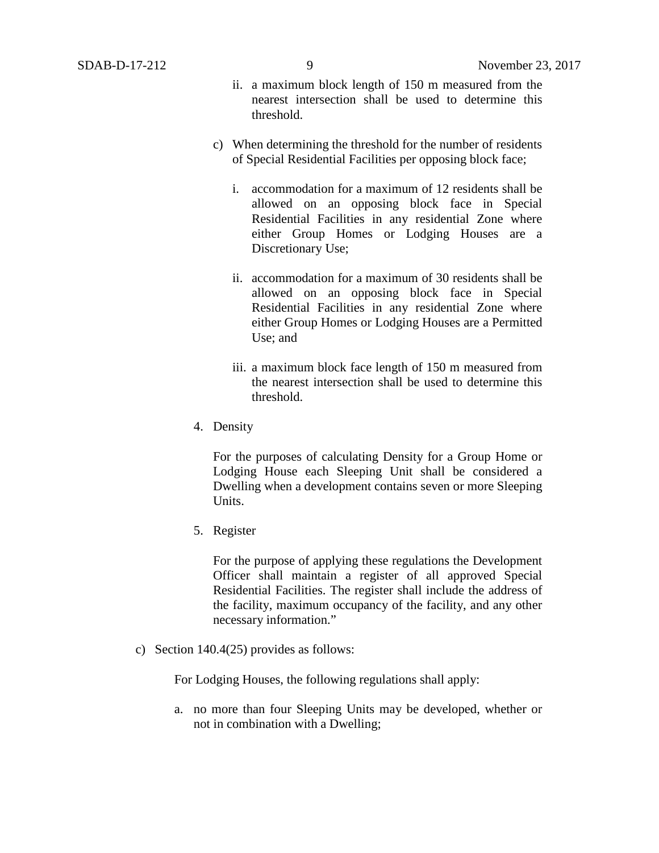- ii. a maximum block length of 150 m measured from the nearest intersection shall be used to determine this threshold.
- c) When determining the threshold for the number of residents of Special Residential Facilities per opposing block face;
	- i. accommodation for a maximum of 12 residents shall be allowed on an opposing block face in Special Residential Facilities in any residential Zone where either Group Homes or Lodging Houses are a Discretionary Use;
	- ii. accommodation for a maximum of 30 residents shall be allowed on an opposing block face in Special Residential Facilities in any residential Zone where either Group Homes or Lodging Houses are a Permitted Use; and
	- iii. a maximum block face length of 150 m measured from the nearest intersection shall be used to determine this threshold.
- 4. Density

For the purposes of calculating Density for a Group Home or Lodging House each Sleeping Unit shall be considered a Dwelling when a development contains seven or more Sleeping Units.

5. Register

For the purpose of applying these regulations the Development Officer shall maintain a register of all approved Special Residential Facilities. The register shall include the address of the facility, maximum occupancy of the facility, and any other necessary information."

c) Section 140.4(25) provides as follows:

For Lodging Houses, the following regulations shall apply:

a. no more than four Sleeping Units may be developed, whether or not in combination with a Dwelling;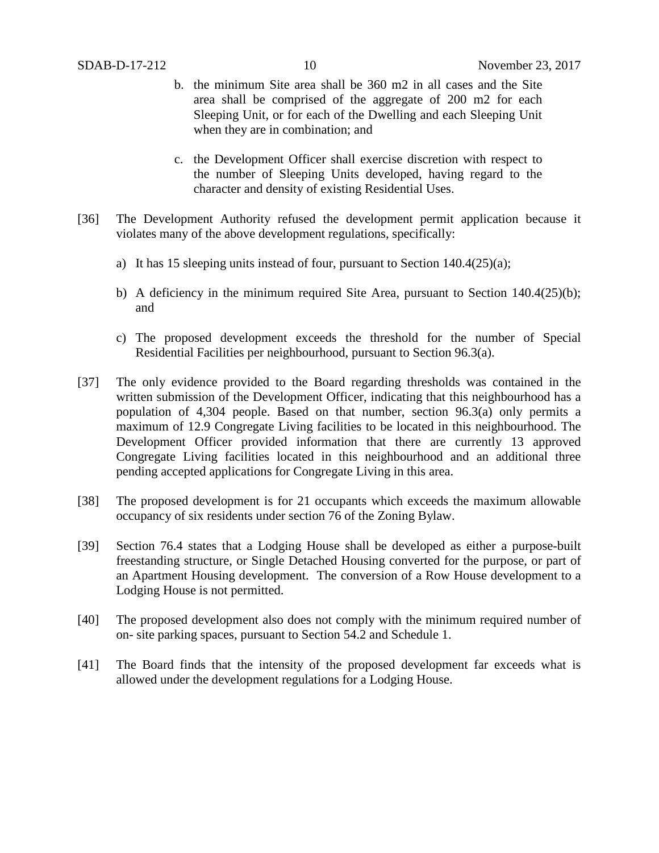- b. the minimum Site area shall be 360 m2 in all cases and the Site area shall be comprised of the aggregate of 200 m2 for each Sleeping Unit, or for each of the Dwelling and each Sleeping Unit when they are in combination; and
- c. the Development Officer shall exercise discretion with respect to the number of Sleeping Units developed, having regard to the character and density of existing Residential Uses.
- [36] The Development Authority refused the development permit application because it violates many of the above development regulations, specifically:
	- a) It has 15 sleeping units instead of four, pursuant to Section 140.4(25)(a);
	- b) A deficiency in the minimum required Site Area, pursuant to Section  $140.4(25)(b)$ ; and
	- c) The proposed development exceeds the threshold for the number of Special Residential Facilities per neighbourhood, pursuant to Section 96.3(a).
- [37] The only evidence provided to the Board regarding thresholds was contained in the written submission of the Development Officer, indicating that this neighbourhood has a population of 4,304 people. Based on that number, section 96.3(a) only permits a maximum of 12.9 Congregate Living facilities to be located in this neighbourhood. The Development Officer provided information that there are currently 13 approved Congregate Living facilities located in this neighbourhood and an additional three pending accepted applications for Congregate Living in this area.
- [38] The proposed development is for 21 occupants which exceeds the maximum allowable occupancy of six residents under section 76 of the Zoning Bylaw.
- [39] Section 76.4 states that a Lodging House shall be developed as either a purpose-built freestanding structure, or Single Detached Housing converted for the purpose, or part of an Apartment Housing development. The conversion of a Row House development to a Lodging House is not permitted.
- [40] The proposed development also does not comply with the minimum required number of on- site parking spaces, pursuant to Section 54.2 and Schedule 1.
- [41] The Board finds that the intensity of the proposed development far exceeds what is allowed under the development regulations for a Lodging House.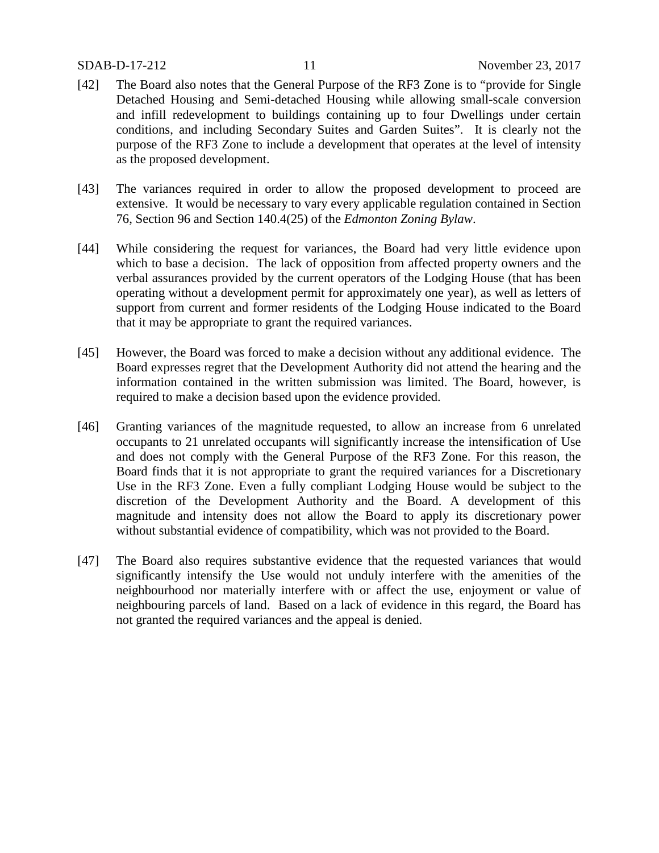- [42] The Board also notes that the General Purpose of the RF3 Zone is to "provide for Single Detached Housing and Semi-detached Housing while allowing small-scale conversion and infill redevelopment to buildings containing up to four Dwellings under certain conditions, and including Secondary Suites and Garden Suites". It is clearly not the purpose of the RF3 Zone to include a development that operates at the level of intensity as the proposed development.
- [43] The variances required in order to allow the proposed development to proceed are extensive. It would be necessary to vary every applicable regulation contained in Section 76, Section 96 and Section 140.4(25) of the *Edmonton Zoning Bylaw*.
- [44] While considering the request for variances, the Board had very little evidence upon which to base a decision. The lack of opposition from affected property owners and the verbal assurances provided by the current operators of the Lodging House (that has been operating without a development permit for approximately one year), as well as letters of support from current and former residents of the Lodging House indicated to the Board that it may be appropriate to grant the required variances.
- [45] However, the Board was forced to make a decision without any additional evidence. The Board expresses regret that the Development Authority did not attend the hearing and the information contained in the written submission was limited. The Board, however, is required to make a decision based upon the evidence provided.
- [46] Granting variances of the magnitude requested, to allow an increase from 6 unrelated occupants to 21 unrelated occupants will significantly increase the intensification of Use and does not comply with the General Purpose of the RF3 Zone. For this reason, the Board finds that it is not appropriate to grant the required variances for a Discretionary Use in the RF3 Zone. Even a fully compliant Lodging House would be subject to the discretion of the Development Authority and the Board. A development of this magnitude and intensity does not allow the Board to apply its discretionary power without substantial evidence of compatibility, which was not provided to the Board.
- [47] The Board also requires substantive evidence that the requested variances that would significantly intensify the Use would not unduly interfere with the amenities of the neighbourhood nor materially interfere with or affect the use, enjoyment or value of neighbouring parcels of land. Based on a lack of evidence in this regard, the Board has not granted the required variances and the appeal is denied.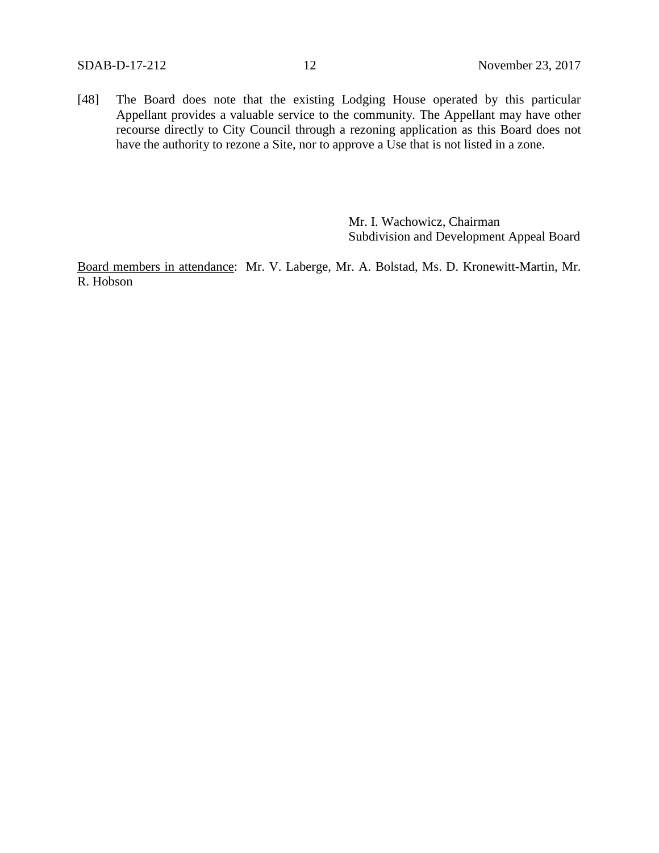[48] The Board does note that the existing Lodging House operated by this particular Appellant provides a valuable service to the community. The Appellant may have other recourse directly to City Council through a rezoning application as this Board does not have the authority to rezone a Site, nor to approve a Use that is not listed in a zone.

> Mr. I. Wachowicz, Chairman Subdivision and Development Appeal Board

Board members in attendance: Mr. V. Laberge, Mr. A. Bolstad, Ms. D. Kronewitt-Martin, Mr. R. Hobson